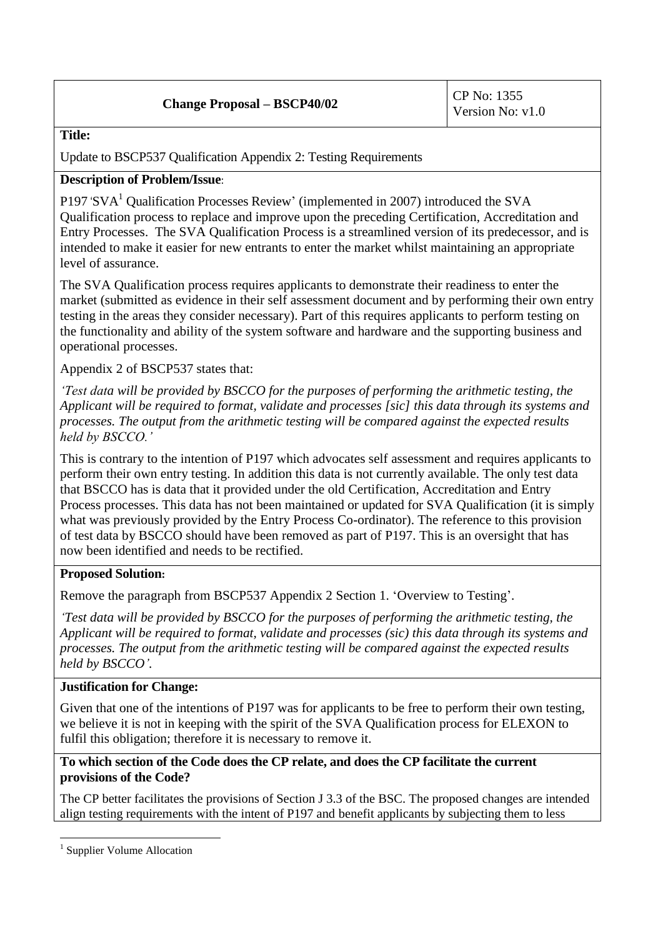# **Change Proposal –**  $\text{BSCP40/02}$  **CP No: 1355**

#### **Title:**

Update to BSCP537 Qualification Appendix 2: Testing Requirements

# **Description of Problem/Issue**:

P197 'SVA<sup>1</sup> Qualification Processes Review' (implemented in 2007) introduced the SVA Qualification process to replace and improve upon the preceding Certification, Accreditation and Entry Processes. The SVA Qualification Process is a streamlined version of its predecessor, and is intended to make it easier for new entrants to enter the market whilst maintaining an appropriate level of assurance.

The SVA Qualification process requires applicants to demonstrate their readiness to enter the market (submitted as evidence in their self assessment document and by performing their own entry testing in the areas they consider necessary). Part of this requires applicants to perform testing on the functionality and ability of the system software and hardware and the supporting business and operational processes.

Appendix 2 of BSCP537 states that:

*'Test data will be provided by BSCCO for the purposes of performing the arithmetic testing, the Applicant will be required to format, validate and processes [sic] this data through its systems and processes. The output from the arithmetic testing will be compared against the expected results held by BSCCO.'* 

This is contrary to the intention of P197 which advocates self assessment and requires applicants to perform their own entry testing. In addition this data is not currently available. The only test data that BSCCO has is data that it provided under the old Certification, Accreditation and Entry Process processes. This data has not been maintained or updated for SVA Qualification (it is simply what was previously provided by the Entry Process Co-ordinator). The reference to this provision of test data by BSCCO should have been removed as part of P197. This is an oversight that has now been identified and needs to be rectified.

## **Proposed Solution:**

Remove the paragraph from BSCP537 Appendix 2 Section 1. 'Overview to Testing'.

*'Test data will be provided by BSCCO for the purposes of performing the arithmetic testing, the Applicant will be required to format, validate and processes (sic) this data through its systems and processes. The output from the arithmetic testing will be compared against the expected results held by BSCCO'.*

## **Justification for Change:**

Given that one of the intentions of P197 was for applicants to be free to perform their own testing, we believe it is not in keeping with the spirit of the SVA Qualification process for ELEXON to fulfil this obligation; therefore it is necessary to remove it.

# **To which section of the Code does the CP relate, and does the CP facilitate the current provisions of the Code?**

The CP better facilitates the provisions of Section J 3.3 of the BSC. The proposed changes are intended align testing requirements with the intent of P197 and benefit applicants by subjecting them to less

1

<sup>&</sup>lt;sup>1</sup> Supplier Volume Allocation